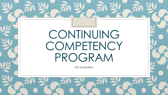# CONTINUING COMPETENCY PROGRAM

An overview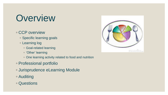# **Overview**

#### ◦ CCP overview

- Specific learning goals
- Learning log
	- Goal-related learning
	- 'Other' learning
	- One learning activity related to food and nutrition
- Professional portfolio
- Jurisprudence eLearning Module
- Auditing

### ◦ Questions

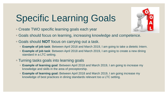# Specific Learning Goals

- Create TWO specific learning goals each year
- Goals should focus on learning, increasing knowledge and competence.
- Goals should **NOT** focus on carrying out a task.
	- **Example of job task**: Between April 2018 and March 2019, I am going to take a dietetic Intern.
	- **Example of job task**: Between April 2018 and March 2019, I am going to create a new dining standard in a LTC setting.
- Turning tasks goals into learning goals
	- **Example of learning goal**: Between April 2018 and March 2019, I am going to increase my knowledge and skills in the area of preceptorship.
	- **Example of learning goal:** Between April 2018 and March 2019, I am going increase my knowledge of best practices in dining standards relevant too a LTC setting.

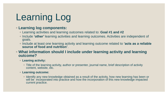# Learning Log

#### ◦ **Learning log components:**

- Learning activities and learning outcomes related to: **Goal #1 and #2**
- Include **'other'** learning activities and learning outcomes. Activities are independent of goals.
- Include at least one learning activity and learning outcome related to **'acts as a reliable source of food and nutrition'**.

◦ **What information should I include under learning activity and learning outcome?**

#### ◦ **Leaning activity:**

◦ Title of the learning activity, author or presenter, journal name, brief description of activity content, website, etc.

#### ◦ **Learning outcome:**

◦ Identify any new knowledge obtained as a result of the activity, how new learning has been or will be incorporated into practice and how the incorporation of this new knowledge impacted current practice.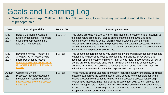## Goals and Learning Log

◦ **Goal #1:** Between April 2018 and March 2019, I am going to increase my knowledge and skills in the area of preceptorship.

| Date                  | <b>Learning Activity</b>                                                                                                                                                             | <b>Related To</b> | <b>Learning Outcome</b>                                                                                                                                                                                                                                                                                                                                                                                                                                                                                                                                                                |
|-----------------------|--------------------------------------------------------------------------------------------------------------------------------------------------------------------------------------|-------------------|----------------------------------------------------------------------------------------------------------------------------------------------------------------------------------------------------------------------------------------------------------------------------------------------------------------------------------------------------------------------------------------------------------------------------------------------------------------------------------------------------------------------------------------------------------------------------------------|
| May<br>17,<br>2017    | Read a Dietitians of Canada<br>article: Preceptoring. This article<br>outlined what preceptoring is<br>and why it is important.                                                      | Goals #1          | This article provided me with why providing thoughtful preceptorship is important to<br>the student and profession. I gained an understanding of how to use good<br>communication including active listening when interacting with an intern. I<br>incorporated this new learning into practice when I provided preceptoring to my first<br>intern in September 2017. I feel that this learning enhanced our communication and<br>the interns overall placement experience.                                                                                                            |
| May<br>17,<br>2017    | Reviewed Whose Problem is it<br>Anyway?????? Responding to<br>Intern Performance Issues<br>https://www.dietitians.ca/Downloads/P<br>ublic/whose problem is it anyway lo<br>rdly.aspx | Goal #1           | This document offered reasons why problems my arise within a preceptor/preceptee<br>relationship and identified ways to improve this relationship. By reviewing this<br>document prior to preceptoring my first intern, I was more knowledgeable of how to<br>identify problems that could arise within this relationship and to choose actions<br>identified in 'ways to improve this relationship' section of the document. I feel this<br>helped me positively navigate my first experience in preceptorship                                                                        |
| August<br>16,<br>2017 | <b>Completed On-line</b><br>Preceptor/Preceptee Education<br>modules by Western University<br>http://www.ipe.uwo.ca/preceptor/<br>index.html                                         | Goal #1           | These modules offered valuable information regarding quality/consistency of clinical<br>placements, improve the communication skills specific to the adult learner and to<br>reduce stress/anxiety frequently related to the preceptor/preceptee relationship. I<br>incorporated these learnings into practice in September 2017 when I entered into<br>my first preceptor role. I feel this new knowledge allowed me to better understand a<br>preceptor/preceptee relationship and offered valuable tools which I used to provide<br>an optimal learning environment for the intern. |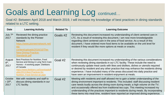## Goals and Learning Log continued…

Goal #2: Between April 2018 and March 2019, I will increase my knowledge of best practices in dining standards related to a LTC setting.

| Date                         | <b>Learning Activity</b>                                                                                                                                                                                                                     | <b>Related To</b> | Learning Outcome                                                                                                                                                                                                                                                                                                                                                                                                                                                                                                              |
|------------------------------|----------------------------------------------------------------------------------------------------------------------------------------------------------------------------------------------------------------------------------------------|-------------------|-------------------------------------------------------------------------------------------------------------------------------------------------------------------------------------------------------------------------------------------------------------------------------------------------------------------------------------------------------------------------------------------------------------------------------------------------------------------------------------------------------------------------------|
| July 7th<br>2017             | Reviewed the dining practice<br>standards by the Pioneer<br><b>Network</b><br>https://www.pioneernetwork.net/<br>$WP-$<br>content/uploads/2016/10/The-<br><b>New-Dining-Practice-</b><br>Standards.pdf                                       | Goals #2          | Reviewing this document increased my understanding of client centered care in<br>LTC. As a result of reviewing this document, I am now more knowledgeable<br>regarding client centered care in the area of food service. As a result of this<br>document, I have ordered more food items to be available on the unit level for<br>resident if they would like more options at meals or snacks.                                                                                                                                |
| August<br>$8th$ ,<br>2017    | Best Practices for Nutrition, Food<br>Service and Dining in Long Term Care<br>Homes - A working paper. Dietitians<br>of Canada<br>https://www.dietitians.ca/Downloads/P<br>ublic/2013-Best-Practices-for-<br>Nutrition,-Food-Service-an.aspx | Goal #2           | Reviewing this document increased my understanding of the various considerations<br>when reviewing dining standards in our LTC facility. These include the need to<br>continuously update meal cards with likes and dislikes, dishes or utensils required<br>or desired by resident and any other practice that may enhance the residents dining<br>experience. I have included many of the areas discussed into daily practice and<br>have seen an improvement in resident enjoyment at meals.                               |
| Octobe<br>r $20th$ ,<br>2017 | Met with residents and staff to<br>discuss dining standards in our<br>LTC facility.                                                                                                                                                          | Goal #2           | Meeting with residents and staff allowed me to gain a better understanding of the<br>dining environment important to residents. This included: staff discussing resident<br>care needs loudly across the dining room during meals; a high volume on the TV;<br>and occasionally offered tea from traditional tea cups. This meeting increased my<br>understanding of the practices important to residents during meals. By incorporating<br>these items into meal time, resident have reported an improved dining experience. |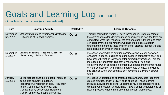## Goals and Learning Log continued…

Other learning activities (not goal related):

| Date                                      | <b>Learning Activity</b>                                                                                                                                                                                                                               | <b>Related To</b> | <b>Learning Outcome</b>                                                                                                                                                                                                                                                                                                                                                                                                                                                                                   |
|-------------------------------------------|--------------------------------------------------------------------------------------------------------------------------------------------------------------------------------------------------------------------------------------------------------|-------------------|-----------------------------------------------------------------------------------------------------------------------------------------------------------------------------------------------------------------------------------------------------------------------------------------------------------------------------------------------------------------------------------------------------------------------------------------------------------------------------------------------------------|
| <b>November</b><br>6 <sup>th</sup> , 2017 | Understanding food hypersensitivity testing<br>- Dietitians of Canada webinar.                                                                                                                                                                         | Other             | Through taking this webinar, I have increased my understanding of<br>the common tests for identifying food sensitivity and how the tests are<br>conducted, what they measure, the evidence behind them, and their<br>clinical relevance. Following the webinar, I feel I have a better<br>understanding of these tests and can better discuss their results and<br>help clients sort through these results.                                                                                               |
| <b>December</b><br>$1st$ , 2017           | Learning on demand - 'Food and fluid in sport'<br>offered through Dietitians of Canada                                                                                                                                                                 | Other             | Increased knowledge of nutrition considerations to consider when<br>engaging in sports, including sodium losses in competitive sport and<br>how proper hydration is important for optimal performance. This has<br>increased my understanding of the importance of fluid and<br>electrolytes when engaging in competitive sports and the importance<br>of meal composition and timing. I incorporated this new knowledge<br>into practice when providing nutrition advice to a university sports<br>team. |
| January<br>19, 2018                       | Jurisprudence eLearning module: Modules<br>completed on Self-Regulation,<br>Registration, Protection of Title, Regulatory<br>Tools, Code of Ethics, Privacy and<br>Confidentiality, Consent for Treatment,<br>Conflict of Interest, Scope of Practice, | Other             | Increased understanding of professional standards, acts regulating<br>dietetic practice, and the NSDA code of ethics. These learning<br>modules allowed me to better understand my legal obligations as a<br>dietitian. As a result of this learning, I have a better understanding of<br>how to proceed when ethical dilemmas present themselves.                                                                                                                                                        |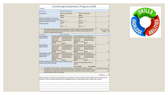|                                                                                                                                                                                                                                                                                                                                                                                                                                                                                                     |                                                                                                   | <b>Continuing Competency Program Audit</b>                                                                                                                                                                                     |  |                                                                                                                     |                                                                                                                        |                     |
|-----------------------------------------------------------------------------------------------------------------------------------------------------------------------------------------------------------------------------------------------------------------------------------------------------------------------------------------------------------------------------------------------------------------------------------------------------------------------------------------------------|---------------------------------------------------------------------------------------------------|--------------------------------------------------------------------------------------------------------------------------------------------------------------------------------------------------------------------------------|--|---------------------------------------------------------------------------------------------------------------------|------------------------------------------------------------------------------------------------------------------------|---------------------|
| Member #:                                                                                                                                                                                                                                                                                                                                                                                                                                                                                           |                                                                                                   |                                                                                                                                                                                                                                |  |                                                                                                                     |                                                                                                                        |                     |
| Category                                                                                                                                                                                                                                                                                                                                                                                                                                                                                            |                                                                                                   | <b>Goal Evaluations</b>                                                                                                                                                                                                        |  |                                                                                                                     |                                                                                                                        |                     |
| <b>Goal Evaluation</b>                                                                                                                                                                                                                                                                                                                                                                                                                                                                              |                                                                                                   | There are 2 distinct goals.                                                                                                                                                                                                    |  | There is 1 distinct goal.                                                                                           |                                                                                                                        |                     |
|                                                                                                                                                                                                                                                                                                                                                                                                                                                                                                     |                                                                                                   | Score 2                                                                                                                                                                                                                        |  | Score 1                                                                                                             |                                                                                                                        | 12                  |
| Goals are learning goals <sup>1</sup> [If none of the<br>goals are learning based, proceed directly to<br>Learning Log Section and Score 0].                                                                                                                                                                                                                                                                                                                                                        |                                                                                                   | Goal #1<br>Score:<br>/1                                                                                                                                                                                                        |  | Goal #2<br>Score: $1$                                                                                               |                                                                                                                        | 12                  |
|                                                                                                                                                                                                                                                                                                                                                                                                                                                                                                     |                                                                                                   | Goal #1                                                                                                                                                                                                                        |  | Goal #2                                                                                                             |                                                                                                                        |                     |
| Goals were specific                                                                                                                                                                                                                                                                                                                                                                                                                                                                                 |                                                                                                   | Score: /1                                                                                                                                                                                                                      |  | Score: /1                                                                                                           |                                                                                                                        | 12                  |
| Goals supports professional growth and development in your area of practice. Goals are not to be based on<br>1.<br>accomplishing job tasks (example meeting sales target) or based on attending a learning activity rather are<br>focused on meeting a learning outcome.                                                                                                                                                                                                                            |                                                                                                   |                                                                                                                                                                                                                                |  | Total score for this<br>section: /6                                                                                 |                                                                                                                        |                     |
| Category                                                                                                                                                                                                                                                                                                                                                                                                                                                                                            |                                                                                                   | Learning Log                                                                                                                                                                                                                   |  |                                                                                                                     |                                                                                                                        |                     |
| Critical Reflection <sup>1</sup> :<br>Related to goal #1                                                                                                                                                                                                                                                                                                                                                                                                                                            | learning impacted<br>practice or how<br>learning will be<br>integrated into practice.<br>Score 10 | It is clearly evident how It is mostly evident how<br>learning impacted practice<br>or how learning will be<br>integrated into practice.<br>Score 8                                                                            |  | It is somewhat evident<br>how learning impacted<br>practice or how<br>learning will be<br>integrated into practice. | It is not evident how<br>learning impacted practice<br>or how learning will be<br>integrated into practice.<br>Score 0 | /10                 |
| Critical Reflection <sup>1</sup> :<br>learning impacted<br>Related to goal #2<br>practice or how<br>learning will be<br>integrated into practice<br>Score 10                                                                                                                                                                                                                                                                                                                                        |                                                                                                   | It is clearly evident how It is mostly evident how<br>learning impacted practice<br>how learning impacted<br>or how learning will be<br>practice or how<br>integrated into practice.<br>learning will be<br>Score 4<br>Score 8 |  | It is somewhat evident<br>integrated into practice.                                                                 | It is not evident how<br>learning impacted practice<br>or how learning will be<br>integrated into practice.<br>Score 0 | /10                 |
| Critical Reflection <sup>1</sup> : Other <sup>2</sup><br>learning impacted<br>Learning Activities not<br>practice or how<br>related to Goals<br>learning will be<br>integrated into practice.<br>Score 10                                                                                                                                                                                                                                                                                           |                                                                                                   | It is clearly evident how It is mostly evident how<br>learning impacted practice<br>or how learning will be<br>practice or how<br>integrated into practice.<br>learning will be<br>Score 4<br>Score 8                          |  | It is somewhat evident<br>how learning impacted<br>integrated into practice.                                        | It is not evident how<br>learning impacted practice<br>or how learning will be<br>integrated into practice.<br>Score 0 | /10                 |
| At least one activity each year is related to Acts as a reliable source for<br>current food and nutrition information                                                                                                                                                                                                                                                                                                                                                                               |                                                                                                   |                                                                                                                                                                                                                                |  |                                                                                                                     | There is one activity related to food and                                                                              | $\overline{14}$     |
|                                                                                                                                                                                                                                                                                                                                                                                                                                                                                                     |                                                                                                   |                                                                                                                                                                                                                                |  | Yes - 4 points                                                                                                      |                                                                                                                        |                     |
| Critical Reflection is clearly evident in how learning impacted practice, or how learning will be integrated into practice.<br>1.<br>Total score for this section:<br>2.<br>Other learning activities are activities completed outside of the registrants' specified goals. Auditors are expected to assess<br>if the registrant has completed 'other' learning and use discretion when scoring based on the amount of learning activities<br>and critical reflection provided in the learning log. |                                                                                                   |                                                                                                                                                                                                                                |  |                                                                                                                     |                                                                                                                        |                     |
|                                                                                                                                                                                                                                                                                                                                                                                                                                                                                                     |                                                                                                   |                                                                                                                                                                                                                                |  |                                                                                                                     |                                                                                                                        | Total Score:<br>/40 |
| Auditors impression of overall CCP submission (please provide comments): (Consider if it is apparent that the registrant put time and effort into the<br>submission, if they have sufficient learning activities for an annual learning log, if activities appear relevant to dietetic scope of practice.                                                                                                                                                                                           |                                                                                                   |                                                                                                                                                                                                                                |  |                                                                                                                     |                                                                                                                        |                     |

\_\_\_\_\_\_\_\_\_\_\_\_\_\_\_\_\_\_\_\_\_\_\_\_\_\_\_\_\_\_\_\_\_\_\_\_\_\_\_\_\_\_\_\_\_\_\_\_\_\_\_\_\_\_\_\_\_\_\_\_\_\_\_\_\_\_\_\_\_\_\_\_\_\_\_\_\_\_\_\_\_\_\_\_\_ \_\_\_\_\_\_\_\_\_\_\_\_\_\_\_\_\_\_\_\_\_\_\_\_\_\_\_\_\_\_\_\_\_\_\_\_\_\_\_\_\_\_\_\_\_\_\_\_\_\_\_\_\_\_\_\_\_\_\_\_\_\_\_\_\_\_\_\_\_\_\_\_\_\_\_\_\_\_\_\_\_\_\_\_\_  $\_$  ,  $\_$  ,  $\_$  ,  $\_$  ,  $\_$  ,  $\_$  ,  $\_$  ,  $\_$  ,  $\_$  ,  $\_$  ,  $\_$  ,  $\_$  ,  $\_$  ,  $\_$  ,  $\_$  ,  $\_$  ,  $\_$  ,  $\_$  ,  $\_$  ,  $\_$  ,  $\_$  ,  $\_$  ,  $\_$  ,  $\_$  ,  $\_$  ,  $\_$  ,  $\_$  ,  $\_$  ,  $\_$  ,  $\_$  ,  $\_$  ,  $\_$  ,  $\_$  ,  $\_$  ,  $\_$  ,  $\_$  ,  $\_$  ,  $\Box$  . The contribution of the contribution of the contribution of the contribution of the contribution of the contribution of the contribution of the contribution of the contribution of the contribution of the contributi

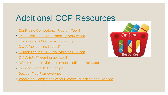## Additional CCP Resources

- [Continuing Competency Program Toolkit](http://www.nsdassoc.ca/images/media/documents/2018-CCP-Toolkit.pdf)
- [Critical Reflection as a Learning Activity.pdf](http://www.nsdassoc.ca/images/media/documents/Critical Reflection as a Learning Activity.pdf)
- [Examples of SMART Learning Goals.pdf](http://www.nsdassoc.ca/images/media/documents/Examples of SMART Learning Goals.pdf)
- [Q & A The learning Log.pdf](http://www.nsdassoc.ca/images/media/documents/Q & A The learning Log.pdf)
- [Completing the CCP Tool While on LOA.pdf](http://www.nsdassoc.ca/images/media/documents/Completing the CCP Tool While on LOA.pdf)
- [Q & A SMART learning goals.pdf](http://www.nsdassoc.ca/images/media/documents/Q & A SMART learning goals.pdf)
- [CCP Resource1\\_Dietitians in non tradtitional roles.pdf](http://www.nsdassoc.ca/images/media/documents/CCP Resource1_Dietitians in non tradtitional roles.pdf)
- [Tools for Critical Reflection.pdf](http://www.nsdassoc.ca/images/media/documents/Tools for Critical Reflection.pdf)
- [Decision Tree Framework.pdf](http://www.nsdassoc.ca/images/media/documents/Decision Tree Framework.pdf)
- [Integrated Competencies for Dietetic Education and Practice](http://pdep.ca/files/Final_ICDEP_April_2013_(1).pdf)

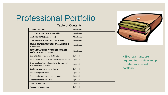## Professional Portfolio

#### Table of Contents

| <b>CURRENT RESUME1</b>                                                          | Mandatory |
|---------------------------------------------------------------------------------|-----------|
| <b>POSITION DESCRIPTION</b> <sub>2</sub> (if applicable)                        | Mandatory |
| <b>LEARNING GOALS (two per year)</b>                                            | Mandatory |
| <b>COPY OF DIETETIC REGISTRATION/LICENSE</b>                                    | Mandatory |
| <b>COURSE CERTIFICATES (PROOF OF COMPLETION)</b><br>(if applicable)             | Mandatory |
| <b>DOCUMENTATION OF WORKSHOPS ATTENDED</b><br>and/or PRESENTED (if applicable)  | Mandatory |
| Copy of Liability Insurance Certificate                                         | Optional  |
| Evidence of NSDA board or committee participation                               | Optional  |
| Evidence of professional association involvement<br>(e.g. Dietitians of Canada) | Optional  |
| Employment performance evaluation                                               | Optional  |
| Evidence of peer review <sub>3</sub>                                            | Optional  |
| Evidence of relevant volunteer activities                                       | Optional  |
| Evidence of critical reflection                                                 | Optional  |
| Letters of reference                                                            | Optional  |
| Achievements or awards                                                          | Optional  |



NSDA registrants are required to maintain an up to date professional portfolio.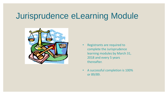## Jurisprudence eLearning Module



- Registrants are required to complete the Jurisprudence learning modules by March 31, 2018 and every 5 years thereafter.
- A successful completion is 100% or 89/89.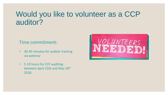### Would you like to volunteer as a CCP auditor?

#### Time commitment:

- 30-45 minutes for auditor training via webinar
- 5-10 hours for CCP auditing. between April 15th and May 30<sup>th</sup> 2018.